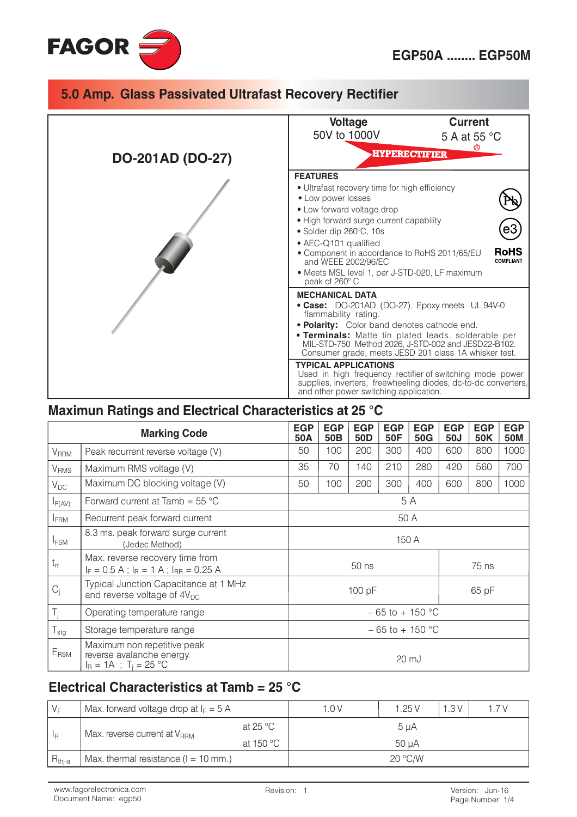

|                         | <b>Voltage</b><br><b>Current</b><br>50V to 1000V<br>5 A at 55 °C                                                                                                                                                                                                                                                                                              |                          |  |  |  |
|-------------------------|---------------------------------------------------------------------------------------------------------------------------------------------------------------------------------------------------------------------------------------------------------------------------------------------------------------------------------------------------------------|--------------------------|--|--|--|
| <b>DO-201AD (DO-27)</b> | <b>HYPERECTIFIER</b>                                                                                                                                                                                                                                                                                                                                          |                          |  |  |  |
|                         | <b>FEATURES</b><br>· Ultrafast recovery time for high efficiency<br>• Low power losses<br>• Low forward voltage drop<br>• High forward surge current capability<br>• Solder dip 260°C, 10s<br>• AEC-Q101 qualified<br>• Component in accordance to RoHS 2011/65/EU<br>and WEEE 2002/96/EC<br>• Meets MSL level 1, per J-STD-020, LF maximum<br>peak of 260° C | <b>RoHS</b><br>COMPLIANT |  |  |  |
|                         | <b>MECHANICAL DATA</b><br>• Case: DO-201AD (DO-27). Epoxy meets UL 94V-0<br>flammability rating.<br>• Polarity: Color band denotes cathode end.<br><b>• Terminals:</b> Matte tin plated leads, solderable per<br>MIL-STD-750 Method 2026, J-STD-002 and JESD22-B102.<br>Consumer grade, meets JESD 201 class 1A whisker test.                                 |                          |  |  |  |
|                         | <b>TYPICAL APPLICATIONS</b><br>Used in high frequency rectifier of switching mode power<br>supplies, inverters, freewheeling diodes, dc-to-dc converters,<br>and other power switching application.                                                                                                                                                           |                          |  |  |  |

### Maximun Ratings and Electrical Characteristics at 25 °C

| <b>Marking Code</b>        |                                                                                                 | <b>EGP</b><br>50A                    | <b>EGP</b><br>50 <sub>B</sub> | <b>EGP</b><br>50 <sub>D</sub> | <b>EGP</b><br>50F | <b>EGP</b><br>50G | <b>EGP</b><br>50J | <b>EGP</b><br>50K | <b>EGP</b><br><b>50M</b> |
|----------------------------|-------------------------------------------------------------------------------------------------|--------------------------------------|-------------------------------|-------------------------------|-------------------|-------------------|-------------------|-------------------|--------------------------|
| <b>V</b> RRM               | Peak recurrent reverse voltage (V)                                                              | 50                                   | 100                           | 200                           | 300               | 400               | 600               | 800               | 1000                     |
| <b>V<sub>RMS</sub></b>     | Maximum RMS voltage (V)                                                                         | 35<br>140<br>210<br>280<br>70<br>420 |                               | 560                           | 700               |                   |                   |                   |                          |
| $V_{DC}$                   | Maximum DC blocking voltage (V)                                                                 |                                      | 100                           | 200                           | 300               | 400               | 600               | 800               | 1000                     |
| $I_{F(AV)}$                | Forward current at Tamb = $55^{\circ}$ C                                                        | 5 A                                  |                               |                               |                   |                   |                   |                   |                          |
| <b>IFRM</b>                | Recurrent peak forward current                                                                  | 50 A                                 |                               |                               |                   |                   |                   |                   |                          |
| <b>IFSM</b>                | 8.3 ms. peak forward surge current<br>(Jedec Method)                                            | 150 A                                |                               |                               |                   |                   |                   |                   |                          |
| $t_{rr}$                   | Max. reverse recovery time from<br>$I_F = 0.5 A$ ; $I_R = 1 A$ ; $I_{RR} = 0.25 A$              | 50 ns                                |                               | 75 ns                         |                   |                   |                   |                   |                          |
| $C_j$                      | Typical Junction Capacitance at 1 MHz<br>and reverse voltage of $4V_{DC}$                       | 100 pF                               |                               | 65 pF                         |                   |                   |                   |                   |                          |
| $T_{j}$                    | Operating temperature range                                                                     | $-65$ to + 150 °C                    |                               |                               |                   |                   |                   |                   |                          |
| ${\mathsf T}_{\text{stg}}$ | Storage temperature range                                                                       | $-65$ to + 150 °C                    |                               |                               |                   |                   |                   |                   |                          |
| E <sub>RSM</sub>           | Maximum non repetitive peak<br>reverse avalanche energy.<br>$I_R = 1A$ ; T <sub>i</sub> = 25 °C | 20 mJ                                |                               |                               |                   |                   |                   |                   |                          |

# Electrical Characteristics at Tamb = 25 °C

| $V_F$                                                    | Max. forward voltage drop at $I_F = 5$ A |           | 1.0V | 1.25V   | 1.3V | 1.7V |  |
|----------------------------------------------------------|------------------------------------------|-----------|------|---------|------|------|--|
| Max. reverse current at $V_{\rm RBM}$<br>-l <sub>R</sub> | at 25 $^{\circ}$ C                       | $5 \mu A$ |      |         |      |      |  |
|                                                          | at 150 $\degree$ C                       | 50 uA     |      |         |      |      |  |
| $R_{\text{thi-a}}$                                       | Max. thermal resistance ( $l = 10$ mm.)  |           |      | 20 °C/W |      |      |  |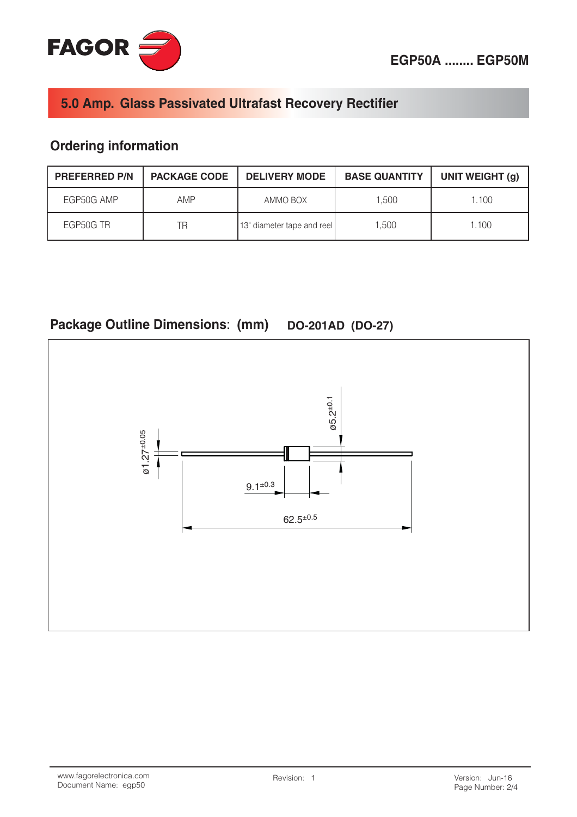

# **Ordering information**

| <b>PREFERRED P/N</b> | <b>PACKAGE CODE</b> | <b>DELIVERY MODE</b>       | <b>BASE QUANTITY</b> | UNIT WEIGHT (g) |
|----------------------|---------------------|----------------------------|----------------------|-----------------|
| EGP50G AMP           | AMP                 | AMMO BOX                   | 1.500                | 1.100           |
| EGP50G TR            | ΤR                  | 13" diameter tape and reel | 1.500                | 1.100           |



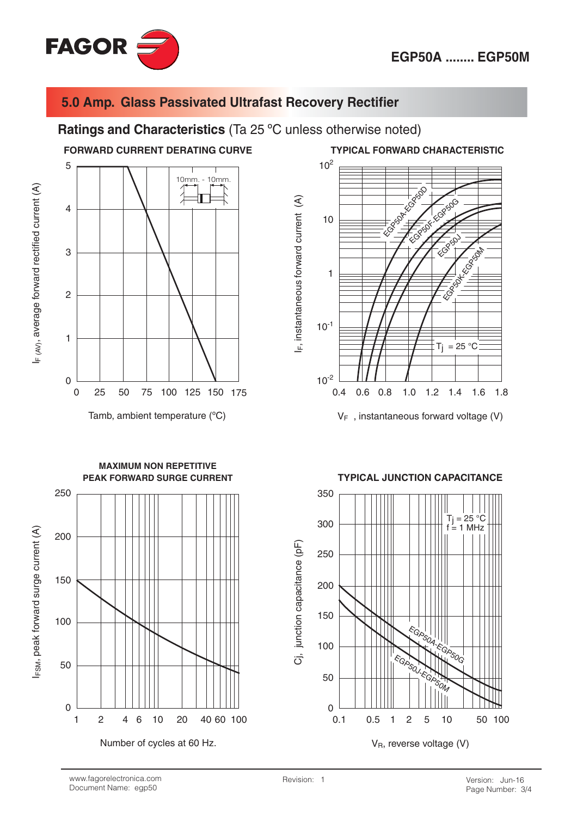

### Ratings and Characteristics (Ta 25 °C unless otherwise noted)

### **FORWARD CURRENT DERATING CURVE**

5 10mm  $-10$ mm.  $\overline{4}$ 3  $\overline{2}$  $\mathbf{1}$  $\overline{0}$  $\overline{0}$ 25 50 75 100 125 150 175

Tamb, ambient temperature (°C)



**TYPICAL FORWARD CHARACTERISTIC** 

 $V_F$ , instantaneous forward voltage (V)



Number of cycles at 60 Hz.

**TYPICAL JUNCTION CAPACITANCE** 



# F(AV), average forward rectified current (A)

FSM, peak forward surge current (A)